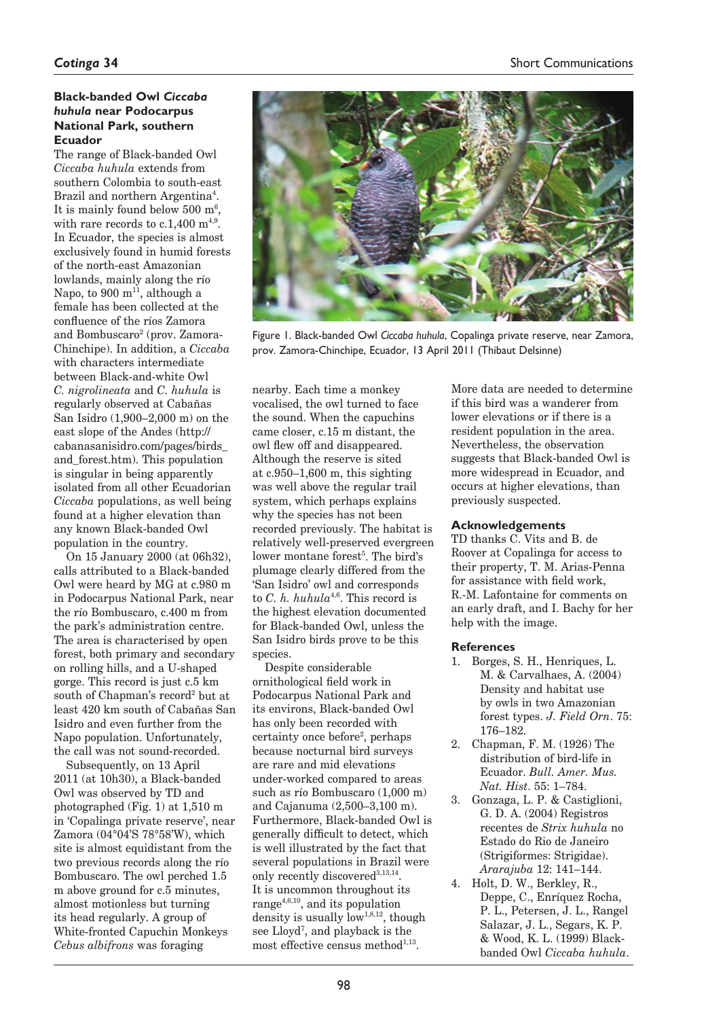# **Black-banded Owl** *Ciccaba huhula* **near Podocarpus National Park, southern Ecuador**

The range of Black-banded Owl *Ciccaba huhula* extends from southern Colombia to south-east Brazil and northern Argentina<sup>4</sup>. It is mainly found below  $500 \text{ m}^6$ , with rare records to  $c.1.400$  m<sup>4,9</sup>. In Ecuador, the species is almost exclusively found in humid forests of the north-east Amazonian lowlands, mainly along the río Napo, to 900 m<sup>11</sup>, although a female has been collected at the confluence of the ríos Zamora and Bombuscaro<sup>2</sup> (prov. Zamora-Chinchipe). In addition, a *Ciccaba* with characters intermediate between Black-and-white Owl *C. nigrolineata* and *C. huhula* is regularly observed at Cabañas San Isidro (1,900–2,000 m) on the east slope of the Andes (http:// cabanasanisidro.com/pages/birds\_ and\_forest.htm). This population is singular in being apparently isolated from all other Ecuadorian *Ciccaba* populations, as well being found at a higher elevation than any known Black-banded Owl population in the country.

On 15 January 2000 (at 06h32), calls attributed to a Black-banded Owl were heard by MG at c.980 m in Podocarpus National Park, near the río Bombuscaro, c.400 m from the park's administration centre. The area is characterised by open forest, both primary and secondary on rolling hills, and a U-shaped gorge. This record is just c.5 km south of Chapman's record<sup>2</sup> but at least 420 km south of Cabañas San Isidro and even further from the Napo population. Unfortunately, the call was not sound-recorded.

Subsequently, on 13 April 2011 (at 10h30), a Black-banded Owl was observed by TD and photographed (Fig. 1) at 1,510 m in 'Copalinga private reserve', near Zamora (04°04'S 78°58'W), which site is almost equidistant from the two previous records along the río Bombuscaro. The owl perched 1.5 m above ground for c.5 minutes. almost motionless but turning its head regularly. A group of White-fronted Capuchin Monkeys *Cebus albifrons* was foraging



Figure 1. Black-banded Owl *Ciccaba huhula*, Copalinga private reserve, near Zamora, prov. Zamora-Chinchipe, Ecuador, 13 April 2011 (Thibaut Delsinne)

nearby. Each time a monkey vocalised, the owl turned to face the sound. When the capuchins came closer, c.15 m distant, the owl flew off and disappeared. Although the reserve is sited at c.950–1,600 m, this sighting was well above the regular trail system, which perhaps explains why the species has not been recorded previously. The habitat is relatively well-preserved evergreen lower montane forest<sup>5</sup>. The bird's plumage clearly differed from the 'San Isidro' owl and corresponds to *C. h. huhula*<sup>4,6</sup>. This record is the highest elevation documented for Black-banded Owl, unless the San Isidro birds prove to be this species.

Despite considerable ornithological field work in Podocarpus National Park and its environs, Black-banded Owl has only been recorded with certainty once before<sup>2</sup>, perhaps because nocturnal bird surveys are rare and mid elevations under-worked compared to areas such as río Bombuscaro (1,000 m) and Cajanuma (2,500–3,100 m). Furthermore, Black-banded Owl is generally difficult to detect, which is well illustrated by the fact that several populations in Brazil were only recently discovered<sup>3,13,14</sup>. It is uncommon throughout its range $4,6,10$ , and its population density is usually  $\overline{\text{low}}^{1,8,12}$ , though see Lloyd7 , and playback is the most effective census method $1,13$ .

More data are needed to determine if this bird was a wanderer from lower elevations or if there is a resident population in the area. Nevertheless, the observation suggests that Black-banded Owl is more widespread in Ecuador, and occurs at higher elevations, than previously suspected.

#### **Acknowledgements**

TD thanks C. Vits and B. de Roover at Copalinga for access to their property, T. M. Arias-Penna for assistance with field work, R.-M. Lafontaine for comments on an early draft, and I. Bachy for her help with the image.

# **References**

- 1. Borges, S. H., Henriques, L. M. & Carvalhaes, A. (2004) Density and habitat use by owls in two Amazonian forest types. *J. Field Orn*. 75: 176–182.
- 2. Chapman, F. M. (1926) The distribution of bird-life in Ecuador. *Bull. Amer. Mus. Nat. Hist*. 55: 1–784.
- 3. Gonzaga, L. P. & Castiglioni, G. D. A. (2004) Registros recentes de *Strix huhula* no Estado do Rio de Janeiro (Strigiformes: Strigidae). *Ararajuba* 12: 141–144.
- 4. Holt, D. W., Berkley, R., Deppe, C., Enríquez Rocha, P. L., Petersen, J. L., Rangel Salazar, J. L., Segars, K. P. & Wood, K. L. (1999) Blackbanded Owl *Ciccaba huhula*.